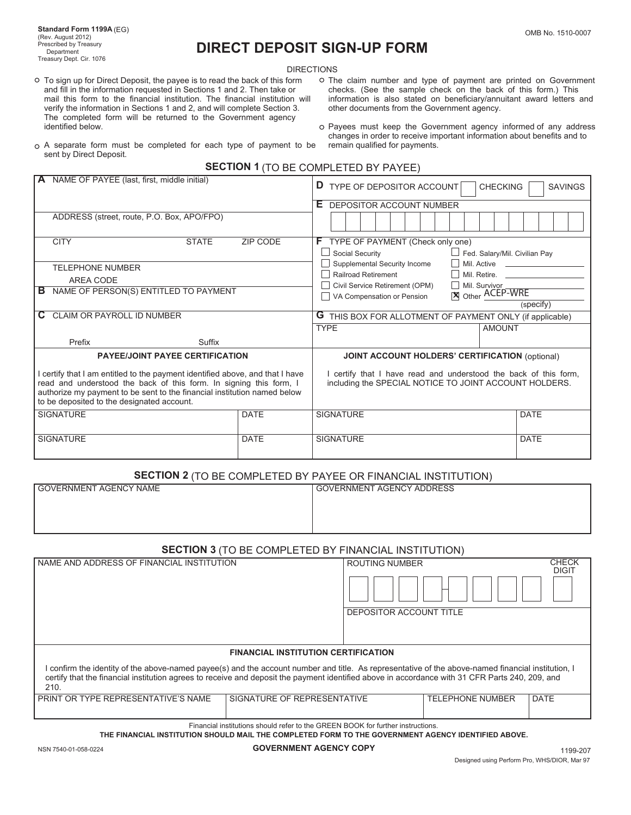# **DIRECT DEPOSIT SIGN-UP FORM**

DIRECTIONS

- and fill in the information requested in Sections 1 and 2. Then take or checks. (See the sample check on the back of this form.) This mail this form to the financial institution. The financial institution will information verify the information in Sections 1 and 2, and will complete Section 3. The completed form will be returned to the Government agency identified below.
- O To sign up for Direct Deposit, the payee is to read the back of this form O The claim number and type of payment are printed on Government and fill in the information requested in Sections 1 and 2. Then take or checks. ( information is also stated on beneficiary/annuitant award letters and other documents from the Government agency.
	- o Payees must keep the Government agency informed of any address changes in order to receive important information about benefits and to
- A separate form must be completed for each type of payment to be remain qualified for payments. sent by Direct Deposit.
	- **SECTION 1** (TO BE COMPLETED BY PAYEE)

| A NAME OF PAYEE (last, first, middle initial)                                                                                                                                                                                                                               |                 | TYPE OF DEPOSITOR ACCOUNT<br><b>CHECKING</b><br><b>SAVINGS</b>                                                           |                                          |  |
|-----------------------------------------------------------------------------------------------------------------------------------------------------------------------------------------------------------------------------------------------------------------------------|-----------------|--------------------------------------------------------------------------------------------------------------------------|------------------------------------------|--|
|                                                                                                                                                                                                                                                                             |                 | Е.<br>DEPOSITOR ACCOUNT NUMBER                                                                                           |                                          |  |
| ADDRESS (street, route, P.O. Box, APO/FPO)                                                                                                                                                                                                                                  |                 |                                                                                                                          |                                          |  |
| <b>CITY</b><br><b>STATE</b>                                                                                                                                                                                                                                                 | <b>ZIP CODE</b> | TYPE OF PAYMENT (Check only one)<br>F.<br>Social Security<br>Fed. Salary/Mil. Civilian Pay                               |                                          |  |
| <b>TELEPHONE NUMBER</b>                                                                                                                                                                                                                                                     |                 | Supplemental Security Income                                                                                             | Mil. Active <b>Lationary</b> Mil. Active |  |
| AREA CODE                                                                                                                                                                                                                                                                   |                 | Railroad Retirement                                                                                                      | Mil. Retire.                             |  |
| NAME OF PERSON(S) ENTITLED TO PAYMENT<br>в                                                                                                                                                                                                                                  |                 | Civil Service Retirement (OPM)<br>Mil. Survivor<br>Other ACEP-WRE                                                        |                                          |  |
|                                                                                                                                                                                                                                                                             |                 | VA Compensation or Pension                                                                                               | (specify)                                |  |
| <b>CLAIM OR PAYROLL ID NUMBER</b>                                                                                                                                                                                                                                           |                 | <b>G</b> THIS BOX FOR ALLOTMENT OF PAYMENT ONLY (if applicable)                                                          |                                          |  |
|                                                                                                                                                                                                                                                                             |                 | <b>TYPE</b><br><b>AMOUNT</b>                                                                                             |                                          |  |
| Prefix<br>Suffix                                                                                                                                                                                                                                                            |                 |                                                                                                                          |                                          |  |
| <b>PAYEE/JOINT PAYEE CERTIFICATION</b>                                                                                                                                                                                                                                      |                 | <b>JOINT ACCOUNT HOLDERS' CERTIFICATION (optional)</b>                                                                   |                                          |  |
| certify that I am entitled to the payment identified above, and that I have<br>read and understood the back of this form. In signing this form, I<br>authorize my payment to be sent to the financial institution named below<br>to be deposited to the designated account. |                 | certify that I have read and understood the back of this form,<br>including the SPECIAL NOTICE TO JOINT ACCOUNT HOLDERS. |                                          |  |
| <b>SIGNATURE</b>                                                                                                                                                                                                                                                            | <b>DATE</b>     | <b>SIGNATURE</b>                                                                                                         | <b>DATE</b>                              |  |
| <b>SIGNATURE</b>                                                                                                                                                                                                                                                            | <b>DATE</b>     | <b>SIGNATURE</b>                                                                                                         | <b>DATE</b>                              |  |

## **SECTION 2** (TO BE COMPLETED BY PAYEE OR FINANCIAL INSTITUTION)

| I GOVERNMENT AGENCY NAME | I GOVERNMENT AGENCY ADDRESS |
|--------------------------|-----------------------------|
|                          |                             |
|                          |                             |
|                          |                             |

## **SECTION 3** (TO BE COMPLETED BY FINANCIAL INSTITUTION)

| NAME AND ADDRESS OF FINANCIAL INSTITUTION                                                                                                                                                                                                                                                                     |                                            | <b>ROUTING NUMBER</b>   |                         | CHECK<br><b>DIGIT</b> |
|---------------------------------------------------------------------------------------------------------------------------------------------------------------------------------------------------------------------------------------------------------------------------------------------------------------|--------------------------------------------|-------------------------|-------------------------|-----------------------|
|                                                                                                                                                                                                                                                                                                               |                                            | DEPOSITOR ACCOUNT TITLE |                         |                       |
|                                                                                                                                                                                                                                                                                                               | <b>FINANCIAL INSTITUTION CERTIFICATION</b> |                         |                         |                       |
| I confirm the identity of the above-named payee(s) and the account number and title. As representative of the above-named financial institution, I<br>certify that the financial institution agrees to receive and deposit the payment identified above in accordance with 31 CFR Parts 240, 209, and<br>210. |                                            |                         |                         |                       |
| PRINT OR TYPE REPRESENTATIVE'S NAME                                                                                                                                                                                                                                                                           | SIGNATURE OF REPRESENTATIVE                |                         | <b>TELEPHONE NUMBER</b> | DATE                  |
|                                                                                                                                                                                                                                                                                                               |                                            |                         |                         |                       |

Financial institutions should refer to the GREEN BOOK for further instructions.

**THE FINANCIAL INSTITUTION SHOULD MAIL THE COMPLETED FORM TO THE GOVERNMENT AGENCY IDENTIFIED ABOVE.**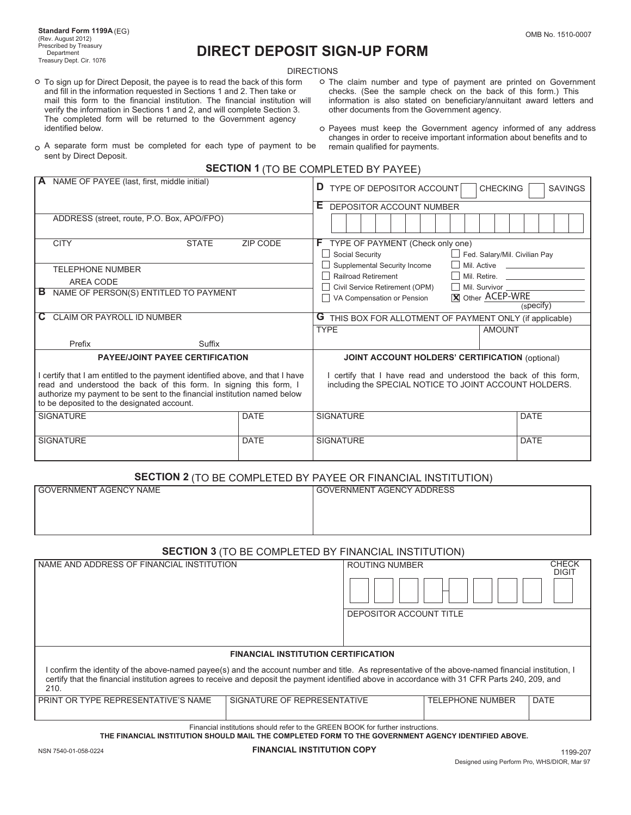## **Department Construct DEPOSIT SIGN-UP FORM**

**DIRECTIONS** 

- and fill in the information requested in Sections 1 and 2. Then take or checks. (See the sample check on the back of this form.) This mail this form to the financial institution. The financial institution will information verify the information in Sections 1 and 2, and will complete Section 3. The completed form will be returned to the Government agency identified below.
- O To sign up for Direct Deposit, the payee is to read the back of this form O The claim number and type of payment are printed on Government and fill in the information requested in Sections 1 and 2. Then take or checks. ( information is also stated on beneficiary/annuitant award letters and other documents from the Government agency.
	- o Payees must keep the Government agency informed of any address changes in order to receive important information about benefits and to
- $\circ$  A separate form must be completed for each type of payment to be sent by Direct Deposit.
	- **SECTION 1** (TO BE COMPLETED BY PAYEE)

| A NAME OF PAYEE (last, first, middle initial)                                                                                                                                                                                                                               |             | <b>D</b> TYPE OF DEPOSITOR ACCOUNT<br><b>CHECKING</b><br><b>SAVINGS</b>                                                    |              |  |
|-----------------------------------------------------------------------------------------------------------------------------------------------------------------------------------------------------------------------------------------------------------------------------|-------------|----------------------------------------------------------------------------------------------------------------------------|--------------|--|
|                                                                                                                                                                                                                                                                             |             | E DEPOSITOR ACCOUNT NUMBER                                                                                                 |              |  |
| ADDRESS (street, route, P.O. Box, APO/FPO)                                                                                                                                                                                                                                  |             |                                                                                                                            |              |  |
| <b>CITY</b><br><b>STATE</b>                                                                                                                                                                                                                                                 | ZIP CODE    | F TYPE OF PAYMENT (Check only one)                                                                                         |              |  |
|                                                                                                                                                                                                                                                                             |             | Social Security<br>Fed. Salary/Mil. Civilian Pay                                                                           |              |  |
| <b>TELEPHONE NUMBER</b>                                                                                                                                                                                                                                                     |             | Supplemental Security Income                                                                                               |              |  |
| <b>AREA CODE</b>                                                                                                                                                                                                                                                            |             | Railroad Retirement                                                                                                        | Mil. Retire. |  |
| NAME OF PERSON(S) ENTITLED TO PAYMENT<br>в                                                                                                                                                                                                                                  |             | Mil. Survivor<br>Civil Service Retirement (OPM)                                                                            |              |  |
|                                                                                                                                                                                                                                                                             |             | X Other ACEP-WRE<br>□ VA Compensation or Pension                                                                           |              |  |
|                                                                                                                                                                                                                                                                             |             |                                                                                                                            | (specify)    |  |
| CLAIM OR PAYROLL ID NUMBER                                                                                                                                                                                                                                                  |             | <b>G</b> THIS BOX FOR ALLOTMENT OF PAYMENT ONLY (if applicable)                                                            |              |  |
|                                                                                                                                                                                                                                                                             |             | <b>TYPE</b><br><b>AMOUNT</b>                                                                                               |              |  |
| Prefix<br>Suffix                                                                                                                                                                                                                                                            |             |                                                                                                                            |              |  |
| <b>PAYEE/JOINT PAYEE CERTIFICATION</b>                                                                                                                                                                                                                                      |             | <b>JOINT ACCOUNT HOLDERS' CERTIFICATION (optional)</b>                                                                     |              |  |
| certify that I am entitled to the payment identified above, and that I have<br>read and understood the back of this form. In signing this form, I<br>authorize my payment to be sent to the financial institution named below<br>to be deposited to the designated account. |             | I certify that I have read and understood the back of this form,<br>including the SPECIAL NOTICE TO JOINT ACCOUNT HOLDERS. |              |  |
| <b>SIGNATURE</b>                                                                                                                                                                                                                                                            | <b>DATE</b> | <b>SIGNATURE</b>                                                                                                           | <b>DATE</b>  |  |
|                                                                                                                                                                                                                                                                             |             |                                                                                                                            |              |  |
| <b>SIGNATURE</b>                                                                                                                                                                                                                                                            | <b>DATE</b> | <b>SIGNATURE</b>                                                                                                           | <b>DATE</b>  |  |

## **SECTION 2** (TO BE COMPLETED BY PAYEE OR FINANCIAL INSTITUTION)

| GOVERNMENT AGENCY NAME | <b>GOVERNMENT AGENCY ADDRESS</b> |
|------------------------|----------------------------------|
|                        |                                  |
|                        |                                  |
|                        |                                  |

### **SECTION 3** (TO BE COMPLETED BY FINANCIAL INSTITUTION)

| I NAME AND ADDRESS OF FINANCIAL INSTITUTION                                                                                                                                                                                                                                                                   |                             | <b>ROUTING NUMBER</b>   |                         | <b>CHECK</b><br><b>DIGIT</b> |
|---------------------------------------------------------------------------------------------------------------------------------------------------------------------------------------------------------------------------------------------------------------------------------------------------------------|-----------------------------|-------------------------|-------------------------|------------------------------|
|                                                                                                                                                                                                                                                                                                               |                             | DEPOSITOR ACCOUNT TITLE |                         |                              |
| <b>FINANCIAL INSTITUTION CERTIFICATION</b>                                                                                                                                                                                                                                                                    |                             |                         |                         |                              |
| I confirm the identity of the above-named payee(s) and the account number and title. As representative of the above-named financial institution, I<br>certify that the financial institution agrees to receive and deposit the payment identified above in accordance with 31 CFR Parts 240, 209, and<br>210. |                             |                         |                         |                              |
| PRINT OR TYPE REPRESENTATIVE'S NAME                                                                                                                                                                                                                                                                           | SIGNATURE OF REPRESENTATIVE |                         | <b>TELEPHONE NUMBER</b> | <b>DATE</b>                  |
|                                                                                                                                                                                                                                                                                                               |                             |                         |                         |                              |

Financial institutions should refer to the GREEN BOOK for further instructions.

**THE FINANCIAL INSTITUTION SHOULD MAIL THE COMPLETED FORM TO THE GOVERNMENT AGENCY IDENTIFIED ABOVE.**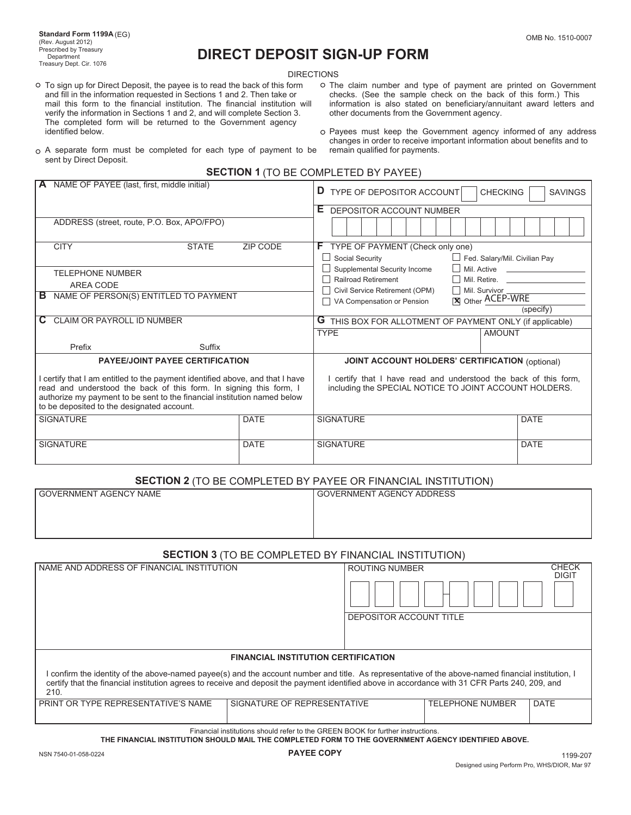# **DIRECT DEPOSIT SIGN-UP FORM**

DIRECTIONS

- and fill in the information requested in Sections 1 and 2. Then take or checks. (See the sample check on the back of this form.) This mail this form to the financial institution. The financial institution will information verify the information in Sections 1 and 2, and will complete Section 3. other documents from the Government agency. The completed form will be returned to the Government agency identified below. **Payees must keep the Government agency informed of any address**
- O To sign up for Direct Deposit, the payee is to read the back of this form O The claim number and type of payment are printed on Government and fill in the information requested in Sections 1 and 2. Then take or checks. ( information is also stated on beneficiary/annuitant award letters and
- $\circ$  A separate form must be completed for each type of payment to be sent by Direct Deposit.
- changes in order to receive important information about benefits and to

|  | <b>SECTION 1 (TO BE COMPLETED BY PAYEE)</b> |
|--|---------------------------------------------|
|--|---------------------------------------------|

| A NAME OF PAYEE (last, first, middle initial)                                                                                                                                                                                                                               |                 | D TYPE OF DEPOSITOR ACCOUNT<br><b>CHECKING</b><br><b>SAVINGS</b>                                                         |                               |  |
|-----------------------------------------------------------------------------------------------------------------------------------------------------------------------------------------------------------------------------------------------------------------------------|-----------------|--------------------------------------------------------------------------------------------------------------------------|-------------------------------|--|
|                                                                                                                                                                                                                                                                             |                 | E DEPOSITOR ACCOUNT NUMBER                                                                                               |                               |  |
| ADDRESS (street, route, P.O. Box, APO/FPO)                                                                                                                                                                                                                                  |                 |                                                                                                                          |                               |  |
| <b>CITY</b><br><b>STATE</b>                                                                                                                                                                                                                                                 | <b>ZIP CODE</b> | F TYPE OF PAYMENT (Check only one)                                                                                       |                               |  |
|                                                                                                                                                                                                                                                                             |                 | Social Security                                                                                                          | Fed. Salary/Mil. Civilian Pay |  |
| <b>TELEPHONE NUMBER</b>                                                                                                                                                                                                                                                     |                 | Supplemental Security Income                                                                                             |                               |  |
| <b>AREA CODE</b>                                                                                                                                                                                                                                                            |                 | <b>Railroad Retirement</b>                                                                                               | Mil. Retire.                  |  |
| NAME OF PERSON(S) ENTITLED TO PAYMENT<br>в                                                                                                                                                                                                                                  |                 | Civil Service Retirement (OPM)<br>Mil. Survivor<br><b>X</b> Other ACEP-WRE                                               |                               |  |
|                                                                                                                                                                                                                                                                             |                 | VA Compensation or Pension                                                                                               | (specify)                     |  |
| <b>CLAIM OR PAYROLL ID NUMBER</b><br>C.                                                                                                                                                                                                                                     |                 | <b>G</b> THIS BOX FOR ALLOTMENT OF PAYMENT ONLY (if applicable)                                                          |                               |  |
|                                                                                                                                                                                                                                                                             |                 | <b>TYPE</b><br><b>AMOUNT</b>                                                                                             |                               |  |
| Prefix<br>Suffix                                                                                                                                                                                                                                                            |                 |                                                                                                                          |                               |  |
| <b>PAYEE/JOINT PAYEE CERTIFICATION</b>                                                                                                                                                                                                                                      |                 |                                                                                                                          |                               |  |
|                                                                                                                                                                                                                                                                             |                 | <b>JOINT ACCOUNT HOLDERS' CERTIFICATION (optional)</b>                                                                   |                               |  |
| certify that I am entitled to the payment identified above, and that I have<br>read and understood the back of this form. In signing this form, I<br>authorize my payment to be sent to the financial institution named below<br>to be deposited to the designated account. |                 | certify that I have read and understood the back of this form,<br>including the SPECIAL NOTICE TO JOINT ACCOUNT HOLDERS. |                               |  |
| <b>SIGNATURE</b>                                                                                                                                                                                                                                                            | <b>DATE</b>     | <b>SIGNATURE</b>                                                                                                         | <b>DATE</b>                   |  |
|                                                                                                                                                                                                                                                                             |                 |                                                                                                                          |                               |  |
| <b>SIGNATURE</b><br><b>DATE</b>                                                                                                                                                                                                                                             |                 | <b>SIGNATURE</b>                                                                                                         | <b>DATE</b>                   |  |

## **SECTION 2** (TO BE COMPLETED BY PAYEE OR FINANCIAL INSTITUTION)

| GOVERNMENT AGENCY NAME | GOVERNMENT AGENCY ADDRESS |
|------------------------|---------------------------|
|                        |                           |
|                        |                           |
|                        |                           |
|                        |                           |

## **SECTION 3** (TO BE COMPLETED BY FINANCIAL INSTITUTION)

| I NAME AND ADDRESS OF FINANCIAL INSTITUTION                                                                                                                                                                                                                                                                   |                             | <b>ROUTING NUMBER</b>   |                         | <b>CHECK</b><br><b>DIGIT</b> |  |
|---------------------------------------------------------------------------------------------------------------------------------------------------------------------------------------------------------------------------------------------------------------------------------------------------------------|-----------------------------|-------------------------|-------------------------|------------------------------|--|
|                                                                                                                                                                                                                                                                                                               |                             | DEPOSITOR ACCOUNT TITLE |                         |                              |  |
|                                                                                                                                                                                                                                                                                                               |                             |                         |                         |                              |  |
|                                                                                                                                                                                                                                                                                                               |                             |                         |                         |                              |  |
|                                                                                                                                                                                                                                                                                                               |                             |                         |                         |                              |  |
| <b>FINANCIAL INSTITUTION CERTIFICATION</b>                                                                                                                                                                                                                                                                    |                             |                         |                         |                              |  |
| I confirm the identity of the above-named payee(s) and the account number and title. As representative of the above-named financial institution, I<br>certify that the financial institution agrees to receive and deposit the payment identified above in accordance with 31 CFR Parts 240, 209, and<br>210. |                             |                         |                         |                              |  |
| PRINT OR TYPE REPRESENTATIVE'S NAME                                                                                                                                                                                                                                                                           | SIGNATURE OF REPRESENTATIVE |                         | <b>TELEPHONE NUMBER</b> | <b>DATE</b>                  |  |
|                                                                                                                                                                                                                                                                                                               |                             |                         |                         |                              |  |
|                                                                                                                                                                                                                                                                                                               |                             |                         |                         |                              |  |

Financial institutions should refer to the GREEN BOOK for further instructions.

**THE FINANCIAL INSTITUTION SHOULD MAIL THE COMPLETED FORM TO THE GOVERNMENT AGENCY IDENTIFIED ABOVE.**